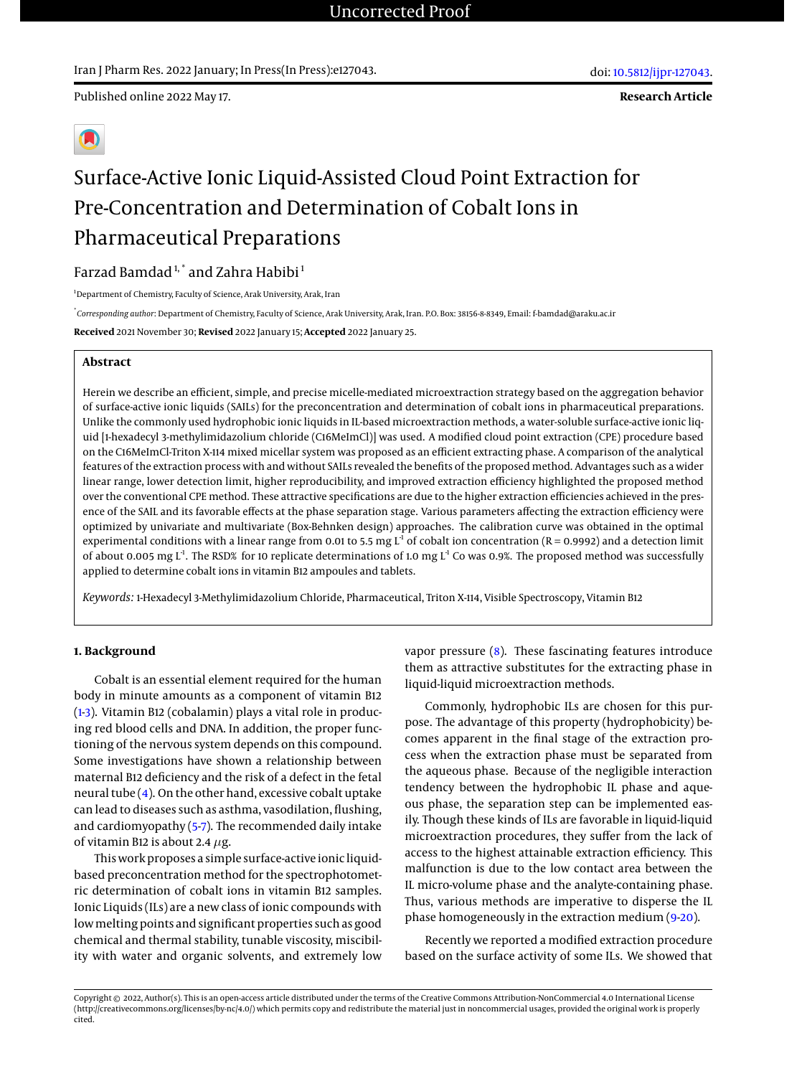Iran J Pharm Res. 2022 January; In Press(In Press):e127043.

**Research Article**



# Surface-Active Ionic Liquid-Assisted Cloud Point Extraction for Pre-Concentration and Determination of Cobalt Ions in Pharmaceutical Preparations

# Farzad Bamdad<sup>1,\*</sup> and Zahra Habibi<sup>1</sup>

<sup>1</sup>Department of Chemistry, Faculty of Science, Arak University, Arak, Iran

\* *Corresponding author*: Department of Chemistry, Faculty of Science, Arak University, Arak, Iran. P.O. Box: 38156-8-8349, Email: f-bamdad@araku.ac.ir

**Received** 2021 November 30; **Revised** 2022 January 15; **Accepted** 2022 January 25.

# **Abstract**

Herein we describe an efficient, simple, and precise micelle-mediated microextraction strategy based on the aggregation behavior of surface-active ionic liquids (SAILs) for the preconcentration and determination of cobalt ions in pharmaceutical preparations. Unlike the commonly used hydrophobic ionic liquids in IL-based microextraction methods, a water-soluble surface-active ionic liquid [1-hexadecyl 3-methylimidazolium chloride (C16MeImCl)] was used. A modified cloud point extraction (CPE) procedure based on the C16MeImCl-Triton X-114 mixed micellar system was proposed as an efficient extracting phase. A comparison of the analytical features of the extraction process with and without SAILs revealed the benefits of the proposed method. Advantages such as a wider linear range, lower detection limit, higher reproducibility, and improved extraction efficiency highlighted the proposed method over the conventional CPE method. These attractive specifications are due to the higher extraction efficiencies achieved in the presence of the SAIL and its favorable effects at the phase separation stage. Various parameters affecting the extraction efficiency were optimized by univariate and multivariate (Box-Behnken design) approaches. The calibration curve was obtained in the optimal experimental conditions with a linear range from 0.01 to 5.5 mg  $L^1$  of cobalt ion concentration ( $R = 0.9992$ ) and a detection limit of about 0.005 mg  $L^1$ . The RSD% for 10 replicate determinations of 1.0 mg  $L^1$  Co was 0.9%. The proposed method was successfully applied to determine cobalt ions in vitamin B12 ampoules and tablets.

*Keywords:* 1-Hexadecyl 3-Methylimidazolium Chloride, Pharmaceutical, Triton X-114, Visible Spectroscopy, Vitamin B12

# **1. Background**

Cobalt is an essential element required for the human body in minute amounts as a component of vitamin B12 [\(1](#page-8-0)[-3\)](#page-8-1). Vitamin B12 (cobalamin) plays a vital role in producing red blood cells and DNA. In addition, the proper functioning of the nervous system depends on this compound. Some investigations have shown a relationship between maternal B12 deficiency and the risk of a defect in the fetal neural tube [\(4\)](#page-8-2). On the other hand, excessive cobalt uptake can lead to diseases such as asthma, vasodilation, flushing, and cardiomyopathy [\(5-](#page-8-3)[7\)](#page-8-4). The recommended daily intake of vitamin B12 is about 2.4  $\mu$ g.

This work proposes a simple surface-active ionic liquidbased preconcentration method for the spectrophotometric determination of cobalt ions in vitamin B12 samples. Ionic Liquids (ILs) are a new class of ionic compounds with low melting points and significant properties such as good chemical and thermal stability, tunable viscosity, miscibility with water and organic solvents, and extremely low

vapor pressure [\(8\)](#page-8-5). These fascinating features introduce them as attractive substitutes for the extracting phase in liquid-liquid microextraction methods.

Commonly, hydrophobic ILs are chosen for this purpose. The advantage of this property (hydrophobicity) becomes apparent in the final stage of the extraction process when the extraction phase must be separated from the aqueous phase. Because of the negligible interaction tendency between the hydrophobic IL phase and aqueous phase, the separation step can be implemented easily. Though these kinds of ILs are favorable in liquid-liquid microextraction procedures, they suffer from the lack of access to the highest attainable extraction efficiency. This malfunction is due to the low contact area between the IL micro-volume phase and the analyte-containing phase. Thus, various methods are imperative to disperse the IL phase homogeneously in the extraction medium [\(9-](#page-8-6)[20\)](#page-8-7).

Recently we reported a modified extraction procedure based on the surface activity of some ILs. We showed that

Copyright © 2022, Author(s). This is an open-access article distributed under the terms of the Creative Commons Attribution-NonCommercial 4.0 International License (http://creativecommons.org/licenses/by-nc/4.0/) which permits copy and redistribute the material just in noncommercial usages, provided the original work is properly cited.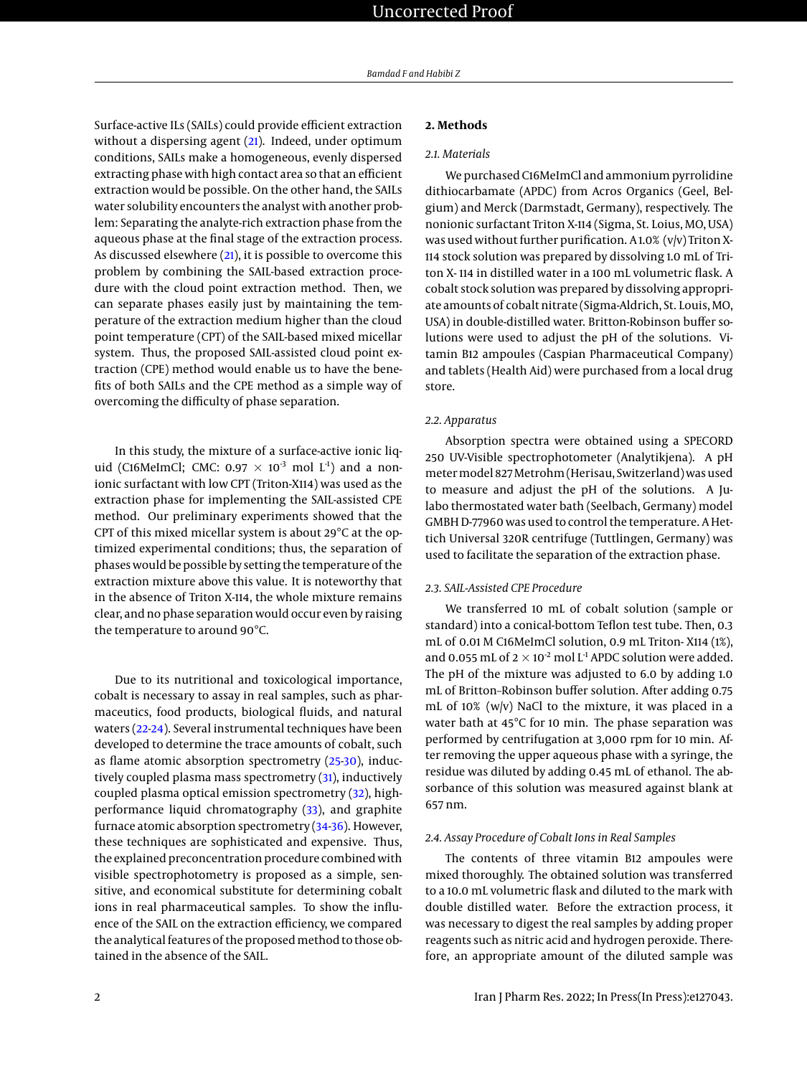Surface-active ILs (SAILs) could provide efficient extraction without a dispersing agent [\(21\)](#page-9-0). Indeed, under optimum conditions, SAILs make a homogeneous, evenly dispersed extracting phase with high contact area so that an efficient extraction would be possible. On the other hand, the SAILs water solubility encounters the analyst with another problem: Separating the analyte-rich extraction phase from the aqueous phase at the final stage of the extraction process. As discussed elsewhere  $(21)$ , it is possible to overcome this problem by combining the SAIL-based extraction procedure with the cloud point extraction method. Then, we can separate phases easily just by maintaining the temperature of the extraction medium higher than the cloud point temperature (CPT) of the SAIL-based mixed micellar system. Thus, the proposed SAIL-assisted cloud point extraction (CPE) method would enable us to have the benefits of both SAILs and the CPE method as a simple way of overcoming the difficulty of phase separation.

In this study, the mixture of a surface-active ionic liquid (C16MeImCl; CMC: 0.97  $\times$  10<sup>-3</sup> mol L<sup>-1</sup>) and a nonionic surfactant with low CPT (Triton-X114) was used as the extraction phase for implementing the SAIL-assisted CPE method. Our preliminary experiments showed that the CPT of this mixed micellar system is about 29°C at the optimized experimental conditions; thus, the separation of phases would be possible by setting the temperature of the extraction mixture above this value. It is noteworthy that in the absence of Triton X-114, the whole mixture remains clear, and no phase separation would occur even by raising the temperature to around 90°C.

Due to its nutritional and toxicological importance, cobalt is necessary to assay in real samples, such as pharmaceutics, food products, biological fluids, and natural waters [\(22](#page-9-1)[-24\)](#page-9-2). Several instrumental techniques have been developed to determine the trace amounts of cobalt, such as flame atomic absorption spectrometry [\(25-](#page-9-3)[30\)](#page-9-4), induc-tively coupled plasma mass spectrometry [\(31\)](#page-9-5), inductively coupled plasma optical emission spectrometry [\(32\)](#page-9-6), highperformance liquid chromatography [\(33\)](#page-9-7), and graphite furnace atomic absorption spectrometry [\(34](#page-9-8)[-36\)](#page-9-9). However, these techniques are sophisticated and expensive. Thus, the explained preconcentration procedure combined with visible spectrophotometry is proposed as a simple, sensitive, and economical substitute for determining cobalt ions in real pharmaceutical samples. To show the influence of the SAIL on the extraction efficiency, we compared the analytical features of the proposed method to those obtained in the absence of the SAIL.

# **2. Methods**

# *2.1. Materials*

We purchased C16MeImCl and ammonium pyrrolidine dithiocarbamate (APDC) from Acros Organics (Geel, Belgium) and Merck (Darmstadt, Germany), respectively. The nonionic surfactant Triton X-114 (Sigma, St. Loius, MO, USA) was used without further purification. A 1.0% (v/v) Triton X-114 stock solution was prepared by dissolving 1.0 mL of Triton X- 114 in distilled water in a 100 mL volumetric flask. A cobalt stock solution was prepared by dissolving appropriate amounts of cobalt nitrate (Sigma-Aldrich, St. Louis, MO, USA) in double-distilled water. Britton-Robinson buffer solutions were used to adjust the pH of the solutions. Vitamin B12 ampoules (Caspian Pharmaceutical Company) and tablets (Health Aid) were purchased from a local drug store.

#### *2.2. Apparatus*

Absorption spectra were obtained using a SPECORD 250 UV-Visible spectrophotometer (Analytikjena). A pH meter model 827 Metrohm (Herisau, Switzerland) was used to measure and adjust the pH of the solutions. A Julabo thermostated water bath (Seelbach, Germany) model GMBH D-77960 was used to control the temperature. A Hettich Universal 320R centrifuge (Tuttlingen, Germany) was used to facilitate the separation of the extraction phase.

# *2.3. SAIL-Assisted CPE Procedure*

We transferred 10 mL of cobalt solution (sample or standard) into a conical-bottom Teflon test tube. Then, 0.3 mL of 0.01 M C16MeImCl solution, 0.9 mL Triton- X114 (1%), and 0.055 mL of  $2 \times 10^{-2}$  mol L<sup>-1</sup> APDC solution were added. The pH of the mixture was adjusted to 6.0 by adding 1.0 mL of Britton–Robinson buffer solution. After adding 0.75 mL of 10% (w/v) NaCl to the mixture, it was placed in a water bath at 45°C for 10 min. The phase separation was performed by centrifugation at 3,000 rpm for 10 min. After removing the upper aqueous phase with a syringe, the residue was diluted by adding 0.45 mL of ethanol. The absorbance of this solution was measured against blank at 657 nm.

#### *2.4. Assay Procedure of Cobalt Ions in Real Samples*

The contents of three vitamin B12 ampoules were mixed thoroughly. The obtained solution was transferred to a 10.0 mL volumetric flask and diluted to the mark with double distilled water. Before the extraction process, it was necessary to digest the real samples by adding proper reagents such as nitric acid and hydrogen peroxide. Therefore, an appropriate amount of the diluted sample was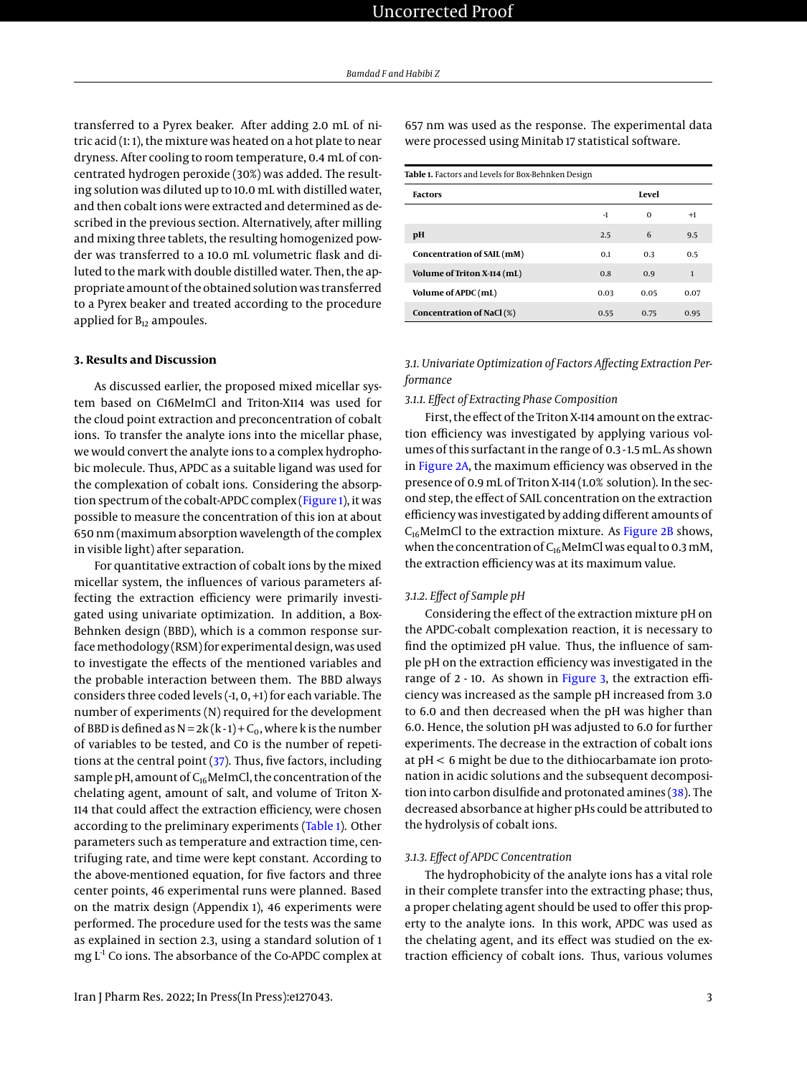transferred to a Pyrex beaker. After adding 2.0 mL of nitric acid (1: 1), the mixture was heated on a hot plate to near dryness. After cooling to room temperature, 0.4 mL of concentrated hydrogen peroxide (30%) was added. The resulting solution was diluted up to 10.0 mL with distilled water, and then cobalt ions were extracted and determined as described in the previous section. Alternatively, after milling and mixing three tablets, the resulting homogenized powder was transferred to a 10.0 mL volumetric flask and diluted to the mark with double distilled water. Then, the appropriate amount of the obtained solution was transferred to a Pyrex beaker and treated according to the procedure applied for  $B_{12}$  ampoules.

# **3. Results and Discussion**

As discussed earlier, the proposed mixed micellar system based on C16MeImCl and Triton-X114 was used for the cloud point extraction and preconcentration of cobalt ions. To transfer the analyte ions into the micellar phase, we would convert the analyte ions to a complex hydrophobic molecule. Thus, APDC as a suitable ligand was used for the complexation of cobalt ions. Considering the absorption spectrum of the cobalt-APDC complex [\(Figure 1\)](#page-3-0), it was possible to measure the concentration of this ion at about 650 nm (maximum absorption wavelength of the complex in visible light) after separation.

For quantitative extraction of cobalt ions by the mixed micellar system, the influences of various parameters affecting the extraction efficiency were primarily investigated using univariate optimization. In addition, a Box-Behnken design (BBD), which is a common response surface methodology (RSM) for experimental design, was used to investigate the effects of the mentioned variables and the probable interaction between them. The BBD always considers three coded levels (-1, 0, +1) for each variable. The number of experiments (N) required for the development of BBD is defined as  $N = 2k(k-1) + C_0$ , where k is the number of variables to be tested, and C0 is the number of repetitions at the central point [\(37\)](#page-9-10). Thus, five factors, including sample pH, amount of  $C_{16}$ MeImCl, the concentration of the chelating agent, amount of salt, and volume of Triton X-114 that could affect the extraction efficiency, were chosen according to the preliminary experiments [\(Table 1\)](#page-2-0). Other parameters such as temperature and extraction time, centrifuging rate, and time were kept constant. According to the above-mentioned equation, for five factors and three center points, 46 experimental runs were planned. Based on the matrix design (Appendix 1), 46 experiments were performed. The procedure used for the tests was the same as explained in section 2.3, using a standard solution of 1 mg L<sup>-1</sup> Co ions. The absorbance of the Co-APDC complex at

Iran J Pharm Res. 2022; In Press(In Press):e127043. 3

657 nm was used as the response. The experimental data were processed using Minitab 17 statistical software.

<span id="page-2-0"></span>

| Table 1. Factors and Levels for Box-Behnken Design |      |          |      |  |  |
|----------------------------------------------------|------|----------|------|--|--|
| <b>Factors</b>                                     |      | Level    |      |  |  |
|                                                    | $-1$ | $\Omega$ | $+1$ |  |  |
| рH                                                 | 2.5  | 6        | 9.5  |  |  |
| Concentration of SAIL (mM)                         | 0.1  | 0.3      | 0.5  |  |  |
| Volume of Triton X-114 (mL)                        | 0.8  | 0.9      | 1    |  |  |
| Volume of APDC (mL)                                | 0.03 | 0.05     | 0.07 |  |  |
| Concentration of NaCl (%)                          | 0.55 | 0.75     | 0.95 |  |  |

*3.1. Univariate Optimization of Factors Affecting Extraction Performance*

# *3.1.1. Effect of Extracting Phase Composition*

First, the effect of the Triton X-114 amount on the extraction efficiency was investigated by applying various volumes of this surfactant in the range of 0.3 - 1.5 mL. As shown in [Figure 2A,](#page-4-0) the maximum efficiency was observed in the presence of 0.9 mL of Triton X-114 (1.0% solution). In the second step, the effect of SAIL concentration on the extraction efficiency was investigated by adding different amounts of  $C_{16}$ MeImCl to the extraction mixture. As [Figure 2B](#page-4-0) shows, when the concentration of  $C_{16}$ MeImCl was equal to 0.3 mM, the extraction efficiency was at its maximum value.

# *3.1.2. Effect of Sample pH*

Considering the effect of the extraction mixture pH on the APDC-cobalt complexation reaction, it is necessary to find the optimized pH value. Thus, the influence of sample pH on the extraction efficiency was investigated in the range of 2 - 10. As shown in [Figure 3,](#page-5-0) the extraction efficiency was increased as the sample pH increased from 3.0 to 6.0 and then decreased when the pH was higher than 6.0. Hence, the solution pH was adjusted to 6.0 for further experiments. The decrease in the extraction of cobalt ions at pH < 6 might be due to the dithiocarbamate ion protonation in acidic solutions and the subsequent decomposition into carbon disulfide and protonated amines [\(38\)](#page-9-11). The decreased absorbance at higher pHs could be attributed to the hydrolysis of cobalt ions.

# *3.1.3. Effect of APDC Concentration*

The hydrophobicity of the analyte ions has a vital role in their complete transfer into the extracting phase; thus, a proper chelating agent should be used to offer this property to the analyte ions. In this work, APDC was used as the chelating agent, and its effect was studied on the extraction efficiency of cobalt ions. Thus, various volumes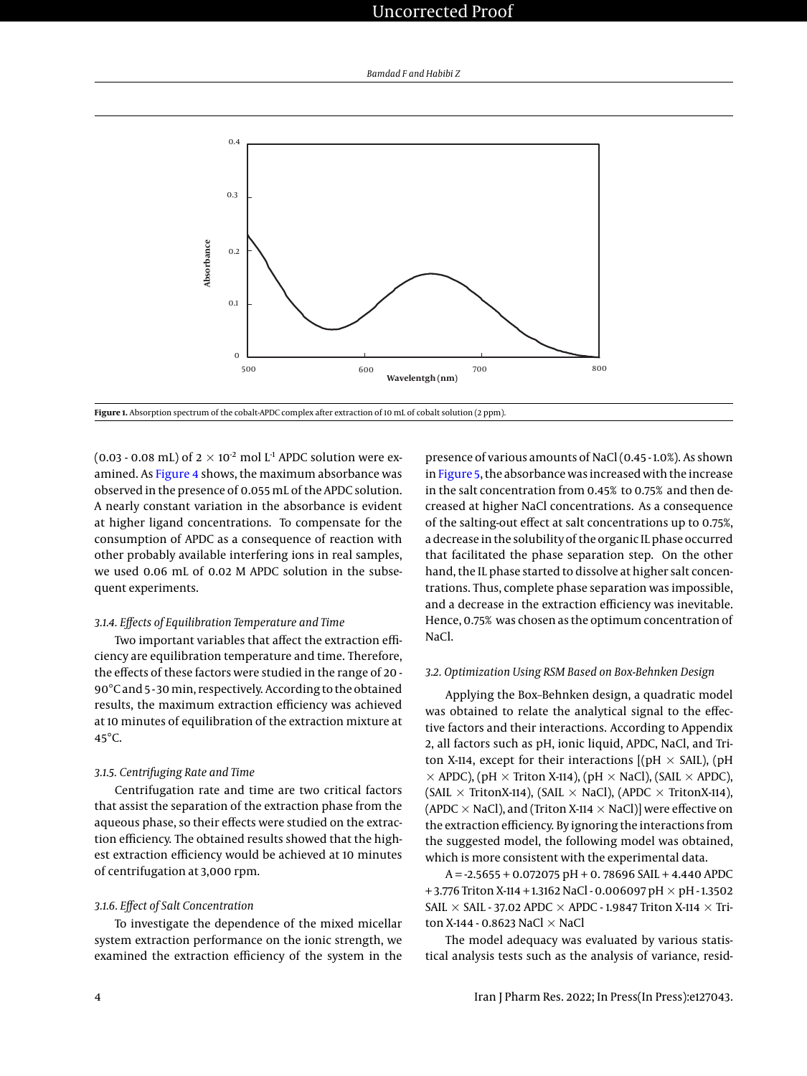<span id="page-3-0"></span>

**Figure 1.** Absorption spectrum of the cobalt-APDC complex after extraction of 10 mL of cobalt solution (2 ppm).

(0.03 - 0.08 mL) of  $2 \times 10^{-2}$  mol L<sup>-1</sup> APDC solution were ex-amined. As [Figure 4](#page-5-1) shows, the maximum absorbance was observed in the presence of 0.055 mL of the APDC solution. A nearly constant variation in the absorbance is evident at higher ligand concentrations. To compensate for the consumption of APDC as a consequence of reaction with other probably available interfering ions in real samples, we used 0.06 mL of 0.02 M APDC solution in the subsequent experiments.

### *3.1.4. Effects of Equilibration Temperature and Time*

Two important variables that affect the extraction efficiency are equilibration temperature and time. Therefore, the effects of these factors were studied in the range of 20 - 90°C and 5 - 30 min, respectively. According to the obtained results, the maximum extraction efficiency was achieved at 10 minutes of equilibration of the extraction mixture at 45°C.

# *3.1.5. Centrifuging Rate and Time*

Centrifugation rate and time are two critical factors that assist the separation of the extraction phase from the aqueous phase, so their effects were studied on the extraction efficiency. The obtained results showed that the highest extraction efficiency would be achieved at 10 minutes of centrifugation at 3,000 rpm.

## *3.1.6. Effect of Salt Concentration*

To investigate the dependence of the mixed micellar system extraction performance on the ionic strength, we examined the extraction efficiency of the system in the presence of various amounts of NaCl (0.45 - 1.0%). As shown in [Figure 5,](#page-6-0) the absorbance was increased with the increase in the salt concentration from 0.45% to 0.75% and then decreased at higher NaCl concentrations. As a consequence of the salting-out effect at salt concentrations up to 0.75%, a decrease in the solubility of the organic IL phase occurred that facilitated the phase separation step. On the other hand, the IL phase started to dissolve at higher salt concentrations. Thus, complete phase separation was impossible, and a decrease in the extraction efficiency was inevitable. Hence, 0.75% was chosen as the optimum concentration of NaCl.

#### *3.2. Optimization Using RSM Based on Box-Behnken Design*

Applying the Box–Behnken design, a quadratic model was obtained to relate the analytical signal to the effective factors and their interactions. According to Appendix 2, all factors such as pH, ionic liquid, APDC, NaCl, and Triton X-114, except for their interactions  $[(pH \times SAIL)$ , (pH  $\times$  APDC), (pH  $\times$  Triton X-114), (pH  $\times$  NaCl), (SAIL  $\times$  APDC), (SAIL  $\times$  TritonX-114), (SAIL  $\times$  NaCl), (APDC  $\times$  TritonX-114), (APDC  $\times$  NaCl), and (Triton X-114  $\times$  NaCl)] were effective on the extraction efficiency. By ignoring the interactions from the suggested model, the following model was obtained, which is more consistent with the experimental data.

 $A = -2.5655 + 0.072075$  pH + 0.78696 SAIL + 4.440 APDC +3.776 Triton X-114 + 1.3162 NaCl - 0.006097 pH  $\times$  pH - 1.3502 SAIL  $\times$  SAIL - 37.02 APDC  $\times$  APDC - 1.9847 Triton X-114  $\times$  Triton X-144 - 0.8623 NaCl  $\times$  NaCl

The model adequacy was evaluated by various statistical analysis tests such as the analysis of variance, resid-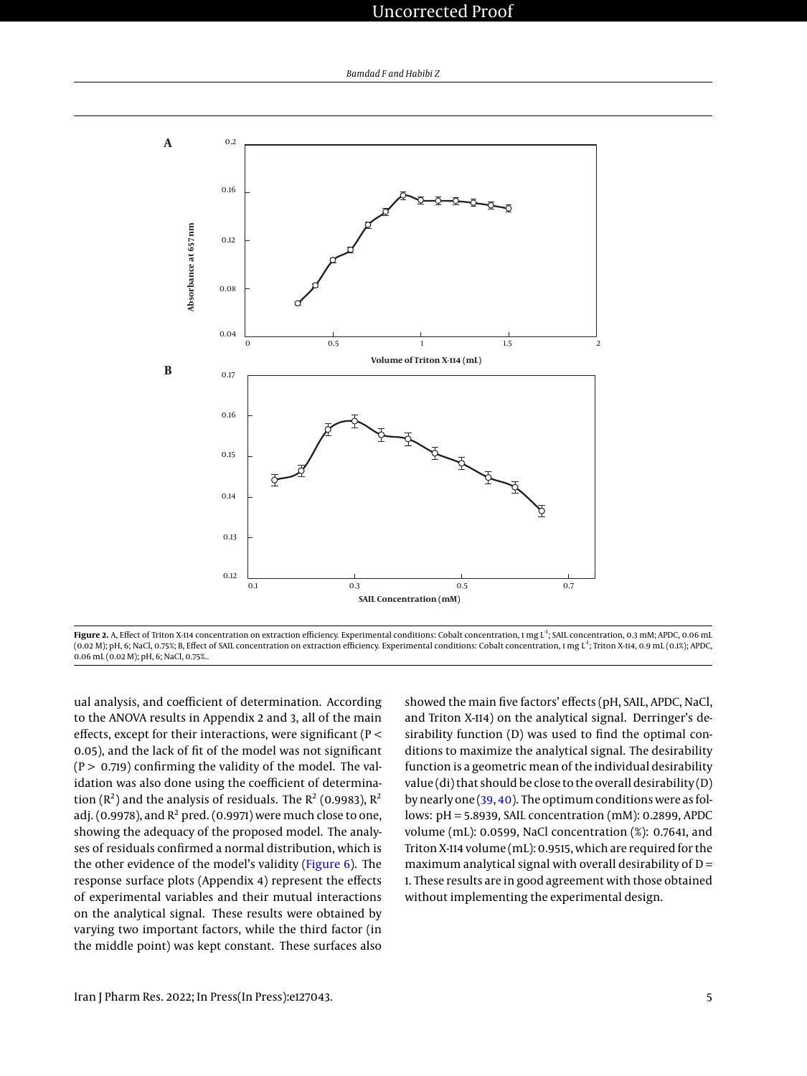<span id="page-4-0"></span>

Figure 2. A, Effect of Triton X-114 concentration on extraction efficiency. Experimental conditions: Cobalt concentration, 1 mg L<sup>1</sup>; SAIL concentration, 0.3 mM; APDC, 0.06 mL (0.02 M); pH, 6; NaCl, 0.75%; B, Effect of SAIL concentration on extraction efficiency. Experimental conditions: Cobalt concentration, 1 mg L-1; Triton X-114, 0.9 mL (0.1%); APDC, 0.06 mL (0.02 M); pH, 6; NaCl, 0.75%..

ual analysis, and coefficient of determination. According to the ANOVA results in Appendix 2 and 3, all of the main effects, except for their interactions, were significant (P < 0.05), and the lack of fit of the model was not significant  $(P > 0.719)$  confirming the validity of the model. The validation was also done using the coefficient of determination ( $\mathbb{R}^2$ ) and the analysis of residuals. The  $\mathbb{R}^2$  (0.9983),  $\mathbb{R}^2$ adj. (0.9978), and  $R^2$  pred. (0.9971) were much close to one, showing the adequacy of the proposed model. The analyses of residuals confirmed a normal distribution, which is the other evidence of the model's validity [\(Figure 6\)](#page-6-1). The response surface plots (Appendix 4) represent the effects of experimental variables and their mutual interactions on the analytical signal. These results were obtained by varying two important factors, while the third factor (in the middle point) was kept constant. These surfaces also

showed the main five factors' effects (pH, SAIL, APDC, NaCl, and Triton X-114) on the analytical signal. Derringer's desirability function (D) was used to find the optimal conditions to maximize the analytical signal. The desirability function is a geometric mean of the individual desirability value (di) that should be close to the overall desirability (D) by nearly one [\(39,](#page-9-12) [40\)](#page-9-13). The optimum conditions were as follows: pH = 5.8939, SAIL concentration (mM): 0.2899, APDC volume (mL): 0.0599, NaCl concentration (%): 0.7641, and Triton X-114 volume (mL): 0.9515, which are required for the maximum analytical signal with overall desirability of  $D =$ 1. These results are in good agreement with those obtained without implementing the experimental design.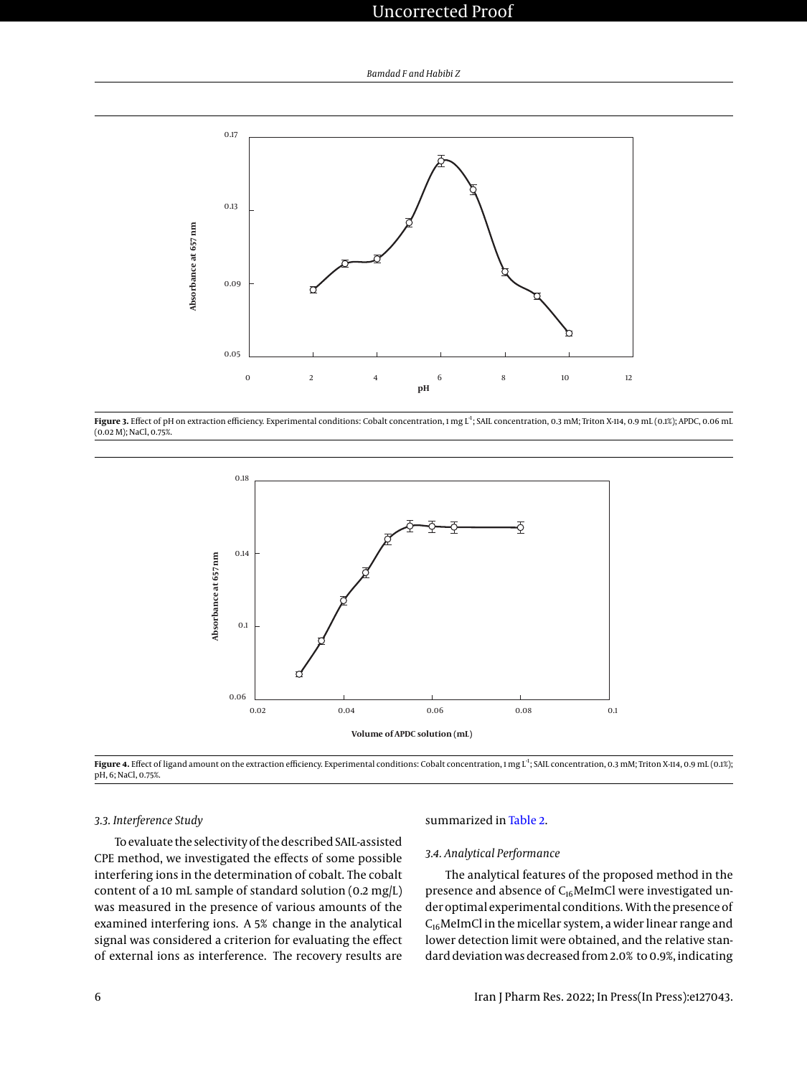<span id="page-5-0"></span>

<span id="page-5-1"></span>Figure 3. Effect of pH on extraction efficiency. Experimental conditions: Cobalt concentration, 1 mg L<sup>1</sup>; SAIL concentration, 0.3 mM; Triton X-114, 0.9 mL (0.1%); APDC, 0.06 mL (0.02 M); NaCl, 0.75%.



Figure 4. Effect of ligand amount on the extraction efficiency. Experimental conditions: Cobalt concentration, 1 mg L<sup>1</sup>; SAIL concentration, 0.3 mM; Triton X-114, 0.9 mL (0.1%); pH, 6; NaCl, 0.75%.

# *3.3. Interference Study*

To evaluate the selectivity of the described SAIL-assisted CPE method, we investigated the effects of some possible interfering ions in the determination of cobalt. The cobalt content of a 10 mL sample of standard solution (0.2 mg/L) was measured in the presence of various amounts of the examined interfering ions. A 5% change in the analytical signal was considered a criterion for evaluating the effect of external ions as interference. The recovery results are

#### summarized in [Table 2.](#page-7-0)

## *3.4. Analytical Performance*

The analytical features of the proposed method in the presence and absence of C<sub>16</sub>MeImCl were investigated under optimal experimental conditions. With the presence of  $C_{16}$ MeImCl in the micellar system, a wider linear range and lower detection limit were obtained, and the relative standard deviation was decreased from 2.0% to 0.9%, indicating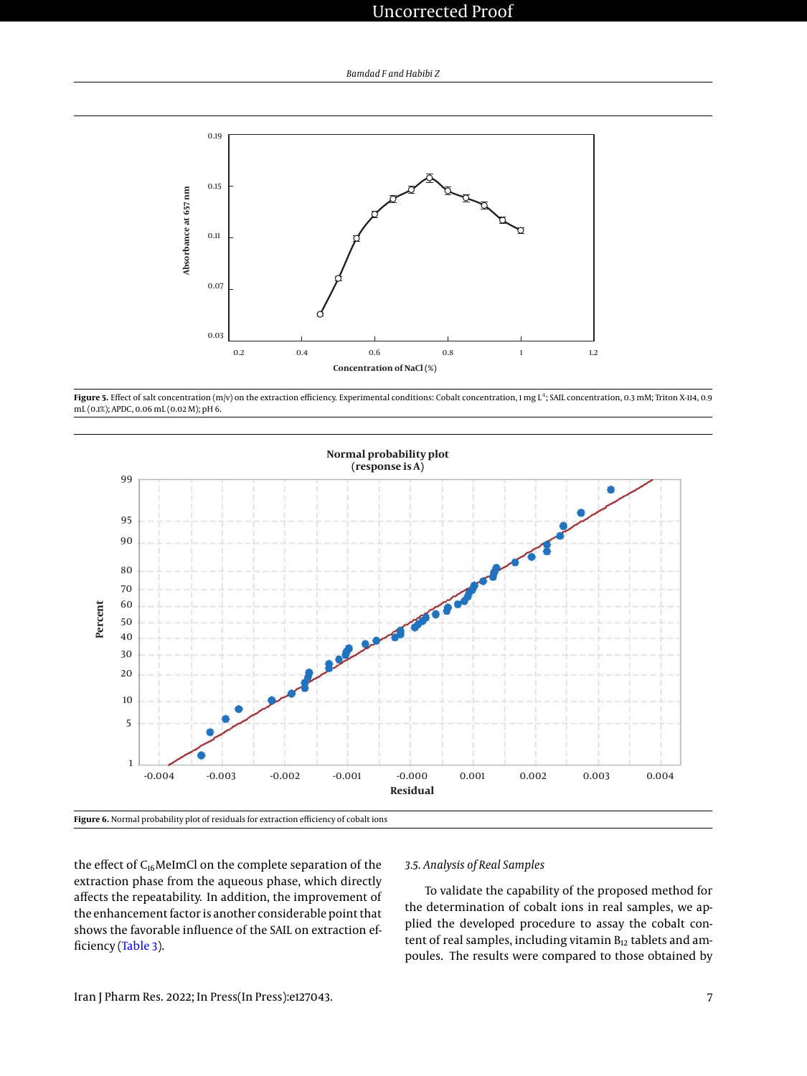<span id="page-6-0"></span>

Figure 5. Effect of salt concentration (m/v) on the extraction efficiency. Experimental conditions: Cobalt concentration, 1 mg L<sup>1</sup>; SAIL concentration, 0.3 mM; Triton X-114, 0.9 mL (0.1%); APDC, 0.06 mL (0.02 M); pH 6.

<span id="page-6-1"></span>



the effect of C<sub>16</sub>MeImCl on the complete separation of the extraction phase from the aqueous phase, which directly affects the repeatability. In addition, the improvement of the enhancement factor is another considerable point that shows the favorable influence of the SAIL on extraction efficiency [\(Table 3\)](#page-7-1).

#### *3.5. Analysis of Real Samples*

To validate the capability of the proposed method for the determination of cobalt ions in real samples, we applied the developed procedure to assay the cobalt content of real samples, including vitamin  $B_{12}$  tablets and ampoules. The results were compared to those obtained by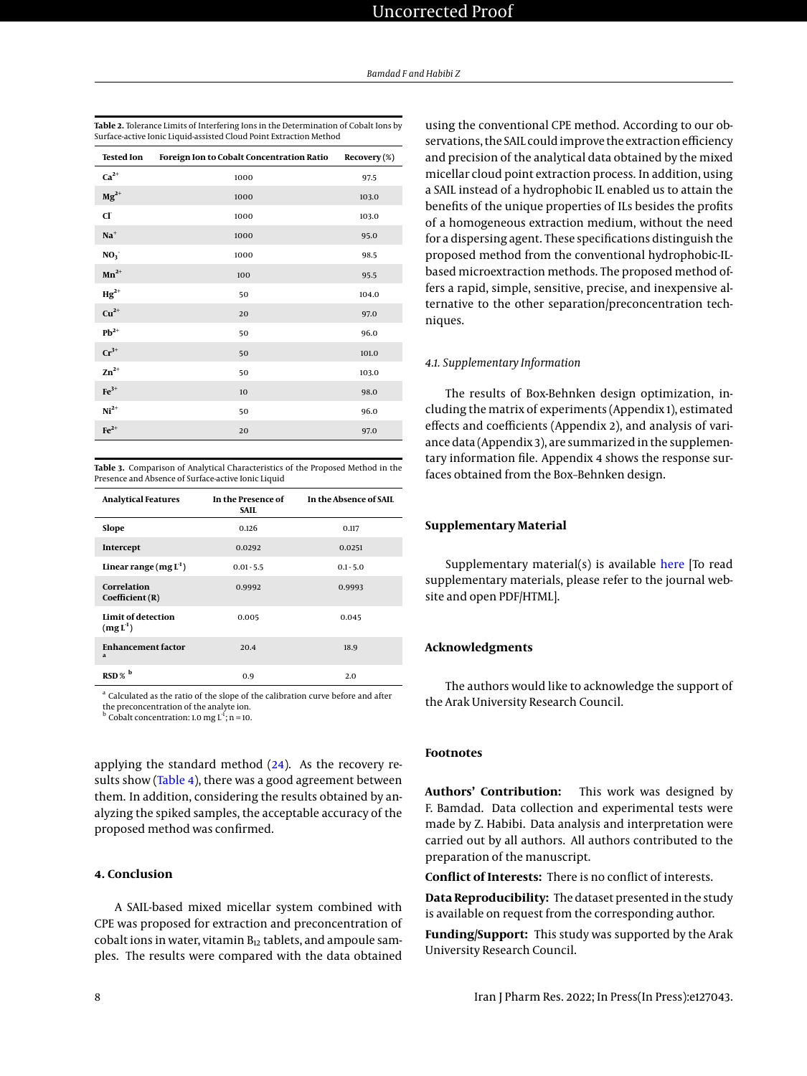<span id="page-7-0"></span>

| Table 2. Tolerance Limits of Interfering Ions in the Determination of Cobalt Ions by |
|--------------------------------------------------------------------------------------|
| Surface-active Ionic Liquid-assisted Cloud Point Extraction Method                   |

| <b>Tested Ion</b>  | Foreign Ion to Cobalt Concentration Ratio | Recovery (%) |
|--------------------|-------------------------------------------|--------------|
| $Ca2+$             | 1000                                      | 97.5         |
| $Mg^{2+}$          | 1000                                      | 103.0        |
| CI                 | 1000                                      | 103.0        |
| $Na+$              | 1000                                      | 95.0         |
| NO <sub>3</sub>    | 1000                                      | 98.5         |
| $Mn^{2+}$          | 100                                       | 95.5         |
| $\mathbf{Hg}^{2+}$ | 50                                        | 104.0        |
| $Cu2+$             | 20                                        | 97.0         |
| $Pb^{2+}$          | 50                                        | 96.0         |
| $Cr^{3+}$          | 50                                        | 101.0        |
| $\text{Zn}^{2+}$   | 50                                        | 103.0        |
| $Fe3+$             | 10                                        | 98.0         |
| $Ni2+$             | 50                                        | 96.0         |
| $Fe2+$             | 20                                        | 97.0         |

<span id="page-7-1"></span>**Table 3.** Comparison of Analytical Characteristics of the Proposed Method in the Presence and Absence of Surface-active Ionic Liquid

| <b>Analytical Features</b>                | In the Presence of<br>SAIL | In the Absence of SAIL |
|-------------------------------------------|----------------------------|------------------------|
| Slope                                     | 0.126                      | 0.117                  |
| Intercept                                 | 0.0292                     | 0.0251                 |
| Linear range $(mg L1)$                    | $0.01 - 5.5$               | $0.1 - 5.0$            |
| Correlation<br>Coefficient(R)             | 0.9992                     | 0.9993                 |
| Limit of detection<br>(mgL <sup>1</sup> ) | 0.005                      | 0.045                  |
| <b>Enhancement factor</b><br>$\mathbf{a}$ | 20.4                       | 18.9                   |
| $RSD \%$ <sup>b</sup>                     | 0.9                        | 2.0                    |

<sup>a</sup> Calculated as the ratio of the slope of the calibration curve before and after the preconcentration of the analyte ion.

<sup>b</sup> Cobalt concentration: 1.0 mg  $L^1$ ; n = 10.

applying the standard method  $(24)$ . As the recovery re-sults show [\(Table 4\)](#page-8-8), there was a good agreement between them. In addition, considering the results obtained by analyzing the spiked samples, the acceptable accuracy of the proposed method was confirmed.

# **4. Conclusion**

A SAIL-based mixed micellar system combined with CPE was proposed for extraction and preconcentration of cobalt ions in water, vitamin  $B_{12}$  tablets, and ampoule samples. The results were compared with the data obtained using the conventional CPE method. According to our observations, the SAIL could improve the extraction efficiency and precision of the analytical data obtained by the mixed micellar cloud point extraction process. In addition, using a SAIL instead of a hydrophobic IL enabled us to attain the benefits of the unique properties of ILs besides the profits of a homogeneous extraction medium, without the need for a dispersing agent. These specifications distinguish the proposed method from the conventional hydrophobic-ILbased microextraction methods. The proposed method offers a rapid, simple, sensitive, precise, and inexpensive alternative to the other separation/preconcentration techniques.

#### *4.1. Supplementary Information*

The results of Box-Behnken design optimization, including the matrix of experiments (Appendix 1), estimated effects and coefficients (Appendix 2), and analysis of variance data (Appendix 3), are summarized in the supplementary information file. Appendix 4 shows the response surfaces obtained from the Box–Behnken design.

# **Supplementary Material**

Supplementary material(s) is available [here](https://ijpr.brieflands.com/cdn/dl/a35ed142-d599-11ec-a692-8f19942e5403) [To read supplementary materials, please refer to the journal website and open PDF/HTML].

# **Acknowledgments**

The authors would like to acknowledge the support of the Arak University Research Council.

#### **Footnotes**

**Authors' Contribution:** This work was designed by F. Bamdad. Data collection and experimental tests were made by Z. Habibi. Data analysis and interpretation were carried out by all authors. All authors contributed to the preparation of the manuscript.

**Conflict of Interests:** There is no conflict of interests.

**Data Reproducibility:** The dataset presented in the study is available on request from the corresponding author.

**Funding/Support:** This study was supported by the Arak University Research Council.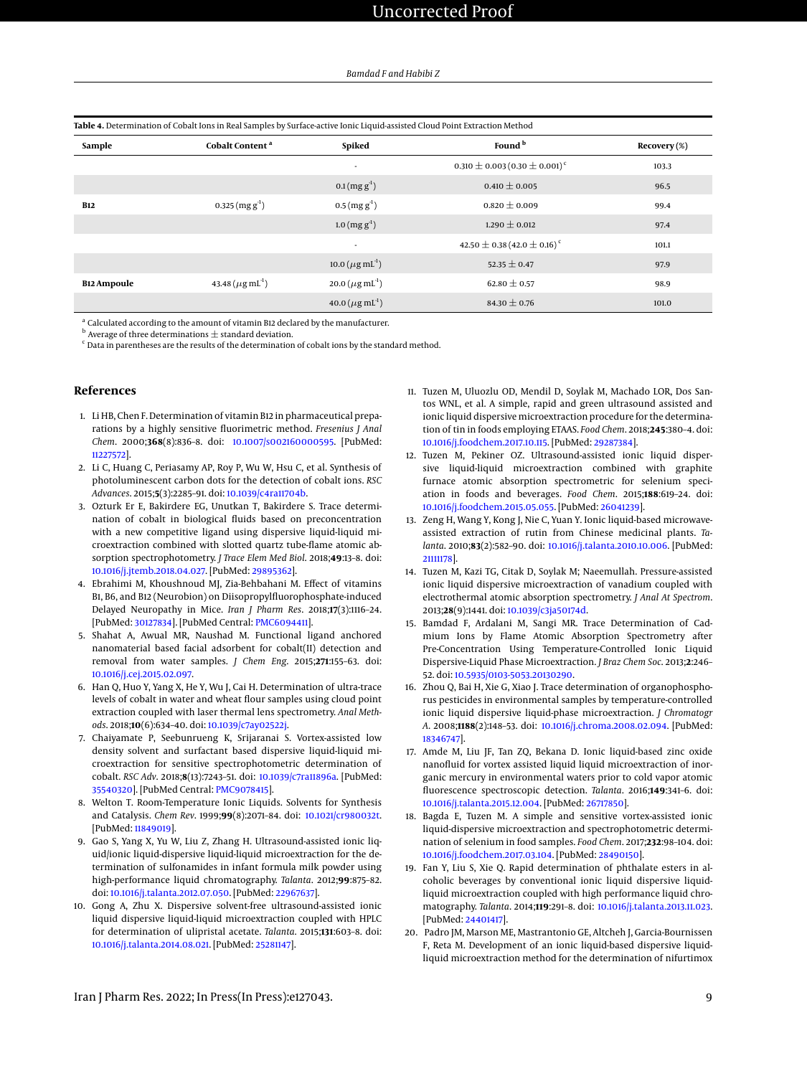| Table 4. Determination of Cobalt Ions in Real Samples by Surface-active Ionic Liquid-assisted Cloud Point Extraction Method |                                    |                                            |                                                 |              |  |
|-----------------------------------------------------------------------------------------------------------------------------|------------------------------------|--------------------------------------------|-------------------------------------------------|--------------|--|
| Sample                                                                                                                      | Cobalt Content <sup>a</sup>        | Spiked                                     | Found <sup>b</sup>                              | Recovery (%) |  |
|                                                                                                                             |                                    | ٠                                          | $0.310 \pm 0.003 (0.30 \pm 0.001)^c$            | 103.3        |  |
|                                                                                                                             |                                    | $0.1$ (mg g <sup>-1</sup> )                | $0.410 \pm 0.005$                               | 96.5         |  |
| <b>B12</b>                                                                                                                  | $0.325$ (mg g <sup>-1</sup> )      | $0.5 (mgg-1)$                              | $0.820 \pm 0.009$                               | 99.4         |  |
|                                                                                                                             |                                    | $1.0 \, (\text{mg g}^{\text{-1}})$         | $1.290 \pm 0.012$                               | 97.4         |  |
|                                                                                                                             |                                    | $\sim$                                     | 42.50 $\pm$ 0.38 (42.0 $\pm$ 0.16) <sup>c</sup> | 101.1        |  |
|                                                                                                                             |                                    | 10.0 ( $\mu$ g mL <sup>-1</sup> )          | 52.35 $\pm$ 0.47                                | 97.9         |  |
| <b>B12 Ampoule</b>                                                                                                          | 43.48 ( $\mu$ g mL <sup>-1</sup> ) | $20.0 \, (\mu g \, \text{mL}^{\text{-1}})$ | 62.80 $\pm$ 0.57                                | 98.9         |  |
|                                                                                                                             |                                    | $40.0 \, (\mu g \, \text{mL}^{\text{-1}})$ | 84.30 $\pm$ 0.76                                | 101.0        |  |

<span id="page-8-8"></span>

<sup>a</sup> Calculated according to the amount of vitamin B12 declared by the manufacturer.

 $^{\rm b}$  Average of three determinations  $\pm$  standard deviation.

 $\epsilon$  Data in parentheses are the results of the determination of cobalt ions by the standard method.

#### **References**

- <span id="page-8-0"></span>1. Li HB, Chen F. Determination of vitamin B12 in pharmaceutical preparations by a highly sensitive fluorimetric method. *Fresenius J Anal Chem*. 2000;**368**(8):836–8. doi: [10.1007/s002160000595.](http://dx.doi.org/10.1007/s002160000595) [PubMed: [11227572\]](http://www.ncbi.nlm.nih.gov/pubmed/11227572).
- 2. Li C, Huang C, Periasamy AP, Roy P, Wu W, Hsu C, et al. Synthesis of photoluminescent carbon dots for the detection of cobalt ions. *RSC Advances*. 2015;**5**(3):2285–91. doi: [10.1039/c4ra11704b.](http://dx.doi.org/10.1039/c4ra11704b)
- <span id="page-8-1"></span>3. Ozturk Er E, Bakirdere EG, Unutkan T, Bakirdere S. Trace determination of cobalt in biological fluids based on preconcentration with a new competitive ligand using dispersive liquid-liquid microextraction combined with slotted quartz tube-flame atomic absorption spectrophotometry. *J Trace Elem Med Biol*. 2018;**49**:13–8. doi: [10.1016/j.jtemb.2018.04.027.](http://dx.doi.org/10.1016/j.jtemb.2018.04.027) [PubMed: [29895362\]](http://www.ncbi.nlm.nih.gov/pubmed/29895362).
- <span id="page-8-2"></span>4. Ebrahimi M, Khoushnoud MJ, Zia-Behbahani M. Effect of vitamins B1, B6, and B12 (Neurobion) on Diisopropylfluorophosphate-induced Delayed Neuropathy in Mice. *Iran J Pharm Res*. 2018;**17**(3):1116–24. [PubMed: [30127834\]](http://www.ncbi.nlm.nih.gov/pubmed/30127834). [PubMed Central: [PMC6094411\]](https://www.ncbi.nlm.nih.gov/pmc/articles/PMC6094411).
- <span id="page-8-3"></span>5. Shahat A, Awual MR, Naushad M. Functional ligand anchored nanomaterial based facial adsorbent for cobalt(II) detection and removal from water samples. *J Chem Eng*. 2015;**271**:155–63. doi: [10.1016/j.cej.2015.02.097.](http://dx.doi.org/10.1016/j.cej.2015.02.097)
- 6. Han Q, Huo Y, Yang X, He Y, Wu J, Cai H. Determination of ultra-trace levels of cobalt in water and wheat flour samples using cloud point extraction coupled with laser thermal lens spectrometry. *Anal Methods*. 2018;**10**(6):634–40. doi: [10.1039/c7ay02522j.](http://dx.doi.org/10.1039/c7ay02522j)
- <span id="page-8-4"></span>7. Chaiyamate P, Seebunrueng K, Srijaranai S. Vortex-assisted low density solvent and surfactant based dispersive liquid-liquid microextraction for sensitive spectrophotometric determination of cobalt. *RSC Adv*. 2018;**8**(13):7243–51. doi: [10.1039/c7ra11896a.](http://dx.doi.org/10.1039/c7ra11896a) [PubMed: [35540320\]](http://www.ncbi.nlm.nih.gov/pubmed/35540320). [PubMed Central: [PMC9078415\]](https://www.ncbi.nlm.nih.gov/pmc/articles/PMC9078415).
- <span id="page-8-5"></span>8. Welton T. Room-Temperature Ionic Liquids. Solvents for Synthesis and Catalysis. *Chem Rev*. 1999;**99**(8):2071–84. doi: [10.1021/cr980032t.](http://dx.doi.org/10.1021/cr980032t) [PubMed: [11849019\]](http://www.ncbi.nlm.nih.gov/pubmed/11849019).
- <span id="page-8-6"></span>9. Gao S, Yang X, Yu W, Liu Z, Zhang H. Ultrasound-assisted ionic liquid/ionic liquid-dispersive liquid-liquid microextraction for the determination of sulfonamides in infant formula milk powder using high-performance liquid chromatography. *Talanta*. 2012;**99**:875–82. doi: [10.1016/j.talanta.2012.07.050.](http://dx.doi.org/10.1016/j.talanta.2012.07.050) [PubMed: [22967637\]](http://www.ncbi.nlm.nih.gov/pubmed/22967637).
- 10. Gong A, Zhu X. Dispersive solvent-free ultrasound-assisted ionic liquid dispersive liquid-liquid microextraction coupled with HPLC for determination of ulipristal acetate. *Talanta*. 2015;**131**:603–8. doi: [10.1016/j.talanta.2014.08.021.](http://dx.doi.org/10.1016/j.talanta.2014.08.021) [PubMed: [25281147\]](http://www.ncbi.nlm.nih.gov/pubmed/25281147).
- 11. Tuzen M, Uluozlu OD, Mendil D, Soylak M, Machado LOR, Dos Santos WNL, et al. A simple, rapid and green ultrasound assisted and ionic liquid dispersive microextraction procedure for the determination of tin in foods employing ETAAS. *Food Chem*. 2018;**245**:380–4. doi: [10.1016/j.foodchem.2017.10.115.](http://dx.doi.org/10.1016/j.foodchem.2017.10.115) [PubMed: [29287384\]](http://www.ncbi.nlm.nih.gov/pubmed/29287384).
- 12. Tuzen M, Pekiner OZ. Ultrasound-assisted ionic liquid dispersive liquid-liquid microextraction combined with graphite furnace atomic absorption spectrometric for selenium speciation in foods and beverages. *Food Chem*. 2015;**188**:619–24. doi: [10.1016/j.foodchem.2015.05.055.](http://dx.doi.org/10.1016/j.foodchem.2015.05.055) [PubMed: [26041239\]](http://www.ncbi.nlm.nih.gov/pubmed/26041239).
- 13. Zeng H, Wang Y, Kong J, Nie C, Yuan Y. Ionic liquid-based microwaveassisted extraction of rutin from Chinese medicinal plants. *Talanta*. 2010;**83**(2):582–90. doi: [10.1016/j.talanta.2010.10.006.](http://dx.doi.org/10.1016/j.talanta.2010.10.006) [PubMed: [21111178\]](http://www.ncbi.nlm.nih.gov/pubmed/21111178).
- 14. Tuzen M, Kazi TG, Citak D, Soylak M; Naeemullah. Pressure-assisted ionic liquid dispersive microextraction of vanadium coupled with electrothermal atomic absorption spectrometry. *J Anal At Spectrom*. 2013;**28**(9):1441. doi: [10.1039/c3ja50174d.](http://dx.doi.org/10.1039/c3ja50174d)
- 15. Bamdad F, Ardalani M, Sangi MR. Trace Determination of Cadmium Ions by Flame Atomic Absorption Spectrometry after Pre-Concentration Using Temperature-Controlled Ionic Liquid Dispersive-Liquid Phase Microextraction. *J Braz Chem Soc*. 2013;**2**:246– 52. doi: [10.5935/0103-5053.20130290.](http://dx.doi.org/10.5935/0103-5053.20130290)
- 16. Zhou Q, Bai H, Xie G, Xiao J. Trace determination of organophosphorus pesticides in environmental samples by temperature-controlled ionic liquid dispersive liquid-phase microextraction. *J Chromatogr A*. 2008;**1188**(2):148–53. doi: [10.1016/j.chroma.2008.02.094.](http://dx.doi.org/10.1016/j.chroma.2008.02.094) [PubMed: [18346747\]](http://www.ncbi.nlm.nih.gov/pubmed/18346747).
- 17. Amde M, Liu JF, Tan ZQ, Bekana D. Ionic liquid-based zinc oxide nanofluid for vortex assisted liquid liquid microextraction of inorganic mercury in environmental waters prior to cold vapor atomic fluorescence spectroscopic detection. *Talanta*. 2016;**149**:341–6. doi: [10.1016/j.talanta.2015.12.004.](http://dx.doi.org/10.1016/j.talanta.2015.12.004) [PubMed: [26717850\]](http://www.ncbi.nlm.nih.gov/pubmed/26717850).
- 18. Bagda E, Tuzen M. A simple and sensitive vortex-assisted ionic liquid-dispersive microextraction and spectrophotometric determination of selenium in food samples. *Food Chem*. 2017;**232**:98–104. doi: [10.1016/j.foodchem.2017.03.104.](http://dx.doi.org/10.1016/j.foodchem.2017.03.104) [PubMed: [28490150\]](http://www.ncbi.nlm.nih.gov/pubmed/28490150).
- 19. Fan Y, Liu S, Xie Q. Rapid determination of phthalate esters in alcoholic beverages by conventional ionic liquid dispersive liquidliquid microextraction coupled with high performance liquid chromatography. *Talanta*. 2014;**119**:291–8. doi: [10.1016/j.talanta.2013.11.023.](http://dx.doi.org/10.1016/j.talanta.2013.11.023) [PubMed: [24401417\]](http://www.ncbi.nlm.nih.gov/pubmed/24401417).
- <span id="page-8-7"></span>20. Padro JM, Marson ME, Mastrantonio GE, Altcheh J, Garcia-Bournissen F, Reta M. Development of an ionic liquid-based dispersive liquidliquid microextraction method for the determination of nifurtimox